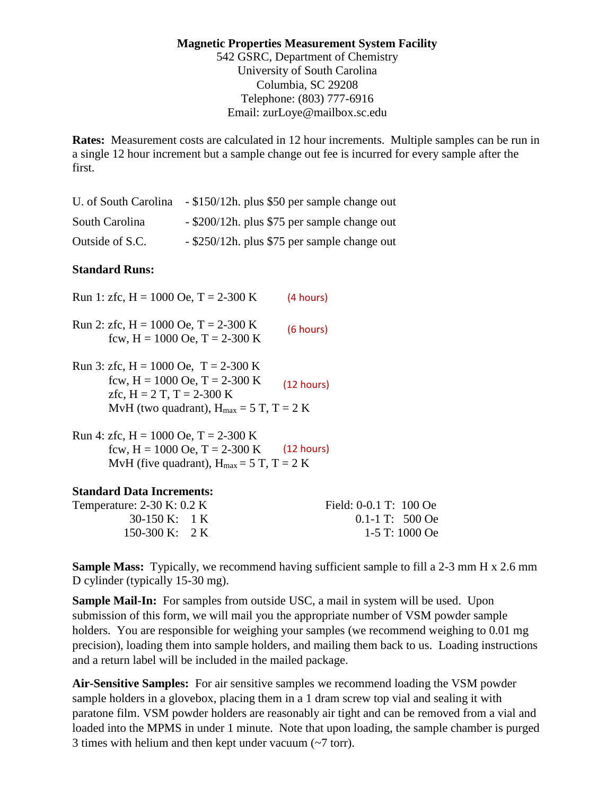### **Magnetic Properties Measurement System Facility**  542 GSRC, Department of Chemistry University of South Carolina Columbia, SC 29208 Telephone: (803) 777-6916 Email: zurLoye@mailbox.sc.edu

**Rates:** Measurement costs are calculated in 12 hour increments. Multiple samples can be run in a single 12 hour increment but a sample change out fee is incurred for every sample after the first.

| U. of South Carolina | - \$150/12h. plus \$50 per sample change out |
|----------------------|----------------------------------------------|
| South Carolina       | - \$200/12h. plus \$75 per sample change out |
| Outside of S.C.      | - \$250/12h. plus \$75 per sample change out |

### **Standard Runs:**

| Run 1: zfc, $H = 1000$ Oe, $T = 2-300$ K                                                                                                                       | (4 hours)       |
|----------------------------------------------------------------------------------------------------------------------------------------------------------------|-----------------|
| Run 2: zfc, H = 1000 Oe, T = 2-300 K<br>fcw, $H = 1000$ Oe, $T = 2-300$ K                                                                                      | (6 hours)       |
| Run 3: zfc, H = 1000 Oe, T = 2-300 K<br>fcw, $H = 1000$ Oe, $T = 2-300$ K<br>zfc, $H = 2 T$ , $T = 2-300 K$<br>MvH (two quadrant), $H_{max} = 5 T$ , $T = 2 K$ | (12 hours)      |
| Run 4: zfc, H = 1000 Oe, T = 2-300 K<br>$C = H - 1000 \Omega + H - 200 \Omega$                                                                                 | $(4.2 \pm 1.0)$ |

fcw,  $H = 1000$  Oe,  $T = 2-300$  K (12 hours) MvH (five quadrant),  $H_{max} = 5$  T, T = 2 K

#### **Standard Data Increments:**

Temperature: 2-30 K: 0.2 K Field: 0-0.1 T: 100 Oe 30-150 K: 1 K 0.1-1 T: 500 Oe 150-300 K: 2 K 1-5 T: 1000 Oe

**Sample Mass:** Typically, we recommend having sufficient sample to fill a 2-3 mm H x 2.6 mm D cylinder (typically 15-30 mg).

**Sample Mail-In:** For samples from outside USC, a mail in system will be used. Upon submission of this form, we will mail you the appropriate number of VSM powder sample holders. You are responsible for weighing your samples (we recommend weighing to 0.01 mg precision), loading them into sample holders, and mailing them back to us. Loading instructions and a return label will be included in the mailed package.

**Air-Sensitive Samples:** For air sensitive samples we recommend loading the VSM powder sample holders in a glovebox, placing them in a 1 dram screw top vial and sealing it with paratone film. VSM powder holders are reasonably air tight and can be removed from a vial and loaded into the MPMS in under 1 minute. Note that upon loading, the sample chamber is purged 3 times with helium and then kept under vacuum (~7 torr).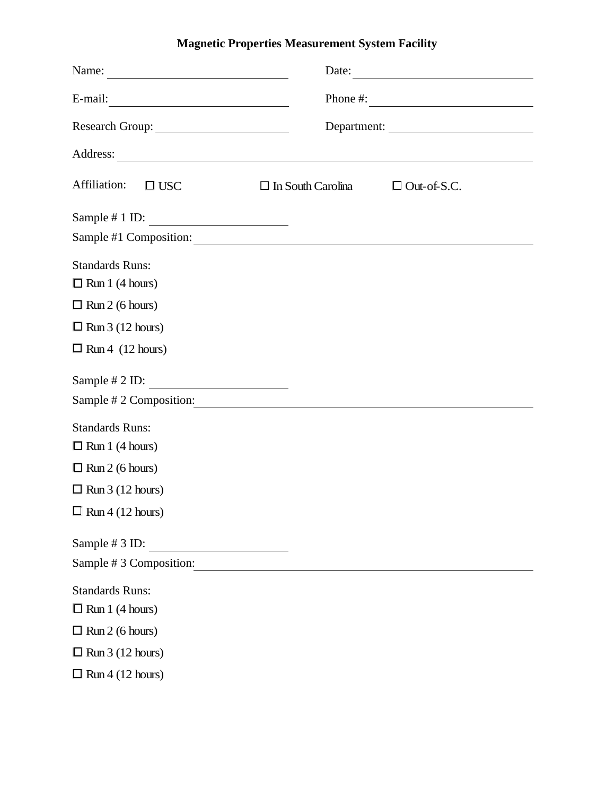# **Magnetic Properties Measurement System Facility**

| $E-mail:$                                  |                          | Phone #: $\frac{1}{2}$ $\frac{1}{2}$ $\frac{1}{2}$ $\frac{1}{2}$ $\frac{1}{2}$ $\frac{1}{2}$ $\frac{1}{2}$ $\frac{1}{2}$ $\frac{1}{2}$ $\frac{1}{2}$ $\frac{1}{2}$ $\frac{1}{2}$ $\frac{1}{2}$ $\frac{1}{2}$ $\frac{1}{2}$ $\frac{1}{2}$ $\frac{1}{2}$ $\frac{1}{2}$ $\frac{1}{2}$ $\frac{1}{2}$ $\frac{1}{2}$ $\$ |  |
|--------------------------------------------|--------------------------|--------------------------------------------------------------------------------------------------------------------------------------------------------------------------------------------------------------------------------------------------------------------------------------------------------------------|--|
|                                            |                          |                                                                                                                                                                                                                                                                                                                    |  |
|                                            |                          |                                                                                                                                                                                                                                                                                                                    |  |
| Affiliation:<br>$\square$ USC              | $\Box$ In South Carolina | $\Box$ Out-of-S.C.                                                                                                                                                                                                                                                                                                 |  |
| Sample # 1 ID: $\overline{\qquad \qquad }$ |                          |                                                                                                                                                                                                                                                                                                                    |  |
| Sample #1 Composition:                     |                          |                                                                                                                                                                                                                                                                                                                    |  |
| <b>Standards Runs:</b>                     |                          |                                                                                                                                                                                                                                                                                                                    |  |
| $\Box$ Run 1 (4 hours)                     |                          |                                                                                                                                                                                                                                                                                                                    |  |
| $\Box$ Run 2 (6 hours)                     |                          |                                                                                                                                                                                                                                                                                                                    |  |
| $\Box$ Run 3 (12 hours)                    |                          |                                                                                                                                                                                                                                                                                                                    |  |
| $\Box$ Run 4 (12 hours)                    |                          |                                                                                                                                                                                                                                                                                                                    |  |
| Sample # 2 ID: $\overline{\qquad \qquad }$ |                          |                                                                                                                                                                                                                                                                                                                    |  |
| Sample # 2 Composition:                    |                          |                                                                                                                                                                                                                                                                                                                    |  |
| <b>Standards Runs:</b>                     |                          |                                                                                                                                                                                                                                                                                                                    |  |
| $\Box$ Run 1 (4 hours)                     |                          |                                                                                                                                                                                                                                                                                                                    |  |
| $\Box$ Run 2 (6 hours)                     |                          |                                                                                                                                                                                                                                                                                                                    |  |
| $\Box$ Run 3 (12 hours)                    |                          |                                                                                                                                                                                                                                                                                                                    |  |
| $\Box$ Run 4 (12 hours)                    |                          |                                                                                                                                                                                                                                                                                                                    |  |
| Sample # 3 ID:                             |                          |                                                                                                                                                                                                                                                                                                                    |  |
| Sample #3 Composition:                     |                          |                                                                                                                                                                                                                                                                                                                    |  |
| <b>Standards Runs:</b>                     |                          |                                                                                                                                                                                                                                                                                                                    |  |
| $\Box$ Run 1 (4 hours)                     |                          |                                                                                                                                                                                                                                                                                                                    |  |
| $\Box$ Run 2 (6 hours)                     |                          |                                                                                                                                                                                                                                                                                                                    |  |
| $\Box$ Run 3 (12 hours)                    |                          |                                                                                                                                                                                                                                                                                                                    |  |
| $\Box$ Run 4 (12 hours)                    |                          |                                                                                                                                                                                                                                                                                                                    |  |
|                                            |                          |                                                                                                                                                                                                                                                                                                                    |  |